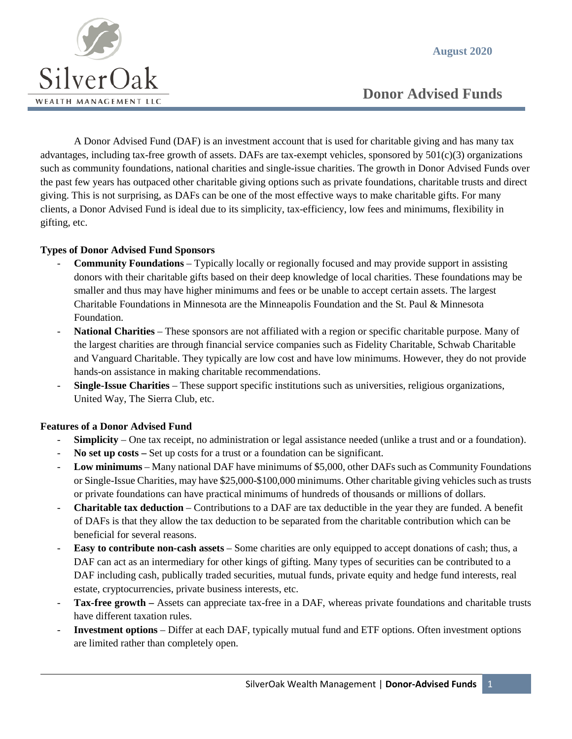**August 2020**



 **Donor Advised Funds**

A Donor Advised Fund (DAF) is an investment account that is used for charitable giving and has many tax advantages, including tax-free growth of assets. DAFs are tax-exempt vehicles, sponsored by  $501(c)(3)$  organizations such as community foundations, national charities and single-issue charities. The growth in Donor Advised Funds over the past few years has outpaced other charitable giving options such as private foundations, charitable trusts and direct giving. This is not surprising, as DAFs can be one of the most effective ways to make charitable gifts. For many clients, a Donor Advised Fund is ideal due to its simplicity, tax-efficiency, low fees and minimums, flexibility in gifting, etc.

#### **Types of Donor Advised Fund Sponsors**

- **Community Foundations** Typically locally or regionally focused and may provide support in assisting donors with their charitable gifts based on their deep knowledge of local charities. These foundations may be smaller and thus may have higher minimums and fees or be unable to accept certain assets. The largest Charitable Foundations in Minnesota are the Minneapolis Foundation and the St. Paul & Minnesota Foundation.
- **National Charities** These sponsors are not affiliated with a region or specific charitable purpose. Many of the largest charities are through financial service companies such as Fidelity Charitable, Schwab Charitable and Vanguard Charitable. They typically are low cost and have low minimums. However, they do not provide hands-on assistance in making charitable recommendations.
- **Single-Issue Charities** These support specific institutions such as universities, religious organizations, United Way, The Sierra Club, etc.

# **Features of a Donor Advised Fund**

- **Simplicity** One tax receipt, no administration or legal assistance needed (unlike a trust and or a foundation).
- **No set up costs –** Set up costs for a trust or a foundation can be significant.
- **Low minimums** Many national DAF have minimums of \$5,000, other DAFs such as Community Foundations or Single-Issue Charities, may have \$25,000-\$100,000 minimums. Other charitable giving vehicles such as trusts or private foundations can have practical minimums of hundreds of thousands or millions of dollars.
- **Charitable tax deduction** Contributions to a DAF are tax deductible in the year they are funded. A benefit of DAFs is that they allow the tax deduction to be separated from the charitable contribution which can be beneficial for several reasons.
- **Easy to contribute non-cash assets** Some charities are only equipped to accept donations of cash; thus, a DAF can act as an intermediary for other kings of gifting. Many types of securities can be contributed to a DAF including cash, publically traded securities, mutual funds, private equity and hedge fund interests, real estate, cryptocurrencies, private business interests, etc.
- **Tax-free growth –** Assets can appreciate tax-free in a DAF, whereas private foundations and charitable trusts have different taxation rules.
- **Investment options** Differ at each DAF, typically mutual fund and ETF options. Often investment options are limited rather than completely open.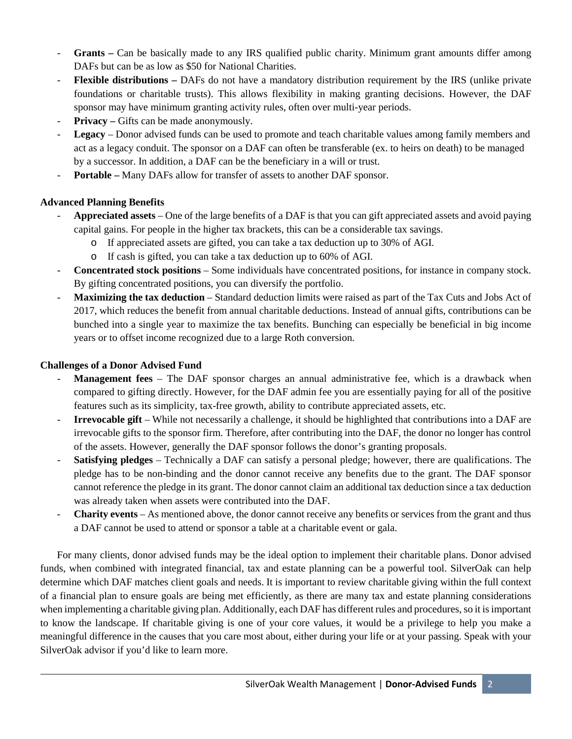- **Grants –** Can be basically made to any IRS qualified public charity. Minimum grant amounts differ among DAFs but can be as low as \$50 for National Charities.
- **Flexible distributions –** DAFs do not have a mandatory distribution requirement by the IRS (unlike private foundations or charitable trusts). This allows flexibility in making granting decisions. However, the DAF sponsor may have minimum granting activity rules, often over multi-year periods.
- **Privacy –** Gifts can be made anonymously.
- **Legacy** Donor advised funds can be used to promote and teach charitable values among family members and act as a legacy conduit. The sponsor on a DAF can often be transferable (ex. to heirs on death) to be managed by a successor. In addition, a DAF can be the beneficiary in a will or trust.
- **Portable –** Many DAFs allow for transfer of assets to another DAF sponsor.

# **Advanced Planning Benefits**

- **Appreciated assets** One of the large benefits of a DAF is that you can gift appreciated assets and avoid paying capital gains. For people in the higher tax brackets, this can be a considerable tax savings.
	- o If appreciated assets are gifted, you can take a tax deduction up to 30% of AGI.
		- o If cash is gifted, you can take a tax deduction up to 60% of AGI.
- **Concentrated stock positions** Some individuals have concentrated positions, for instance in company stock. By gifting concentrated positions, you can diversify the portfolio.
- **Maximizing the tax deduction** Standard deduction limits were raised as part of the Tax Cuts and Jobs Act of 2017, which reduces the benefit from annual charitable deductions. Instead of annual gifts, contributions can be bunched into a single year to maximize the tax benefits. Bunching can especially be beneficial in big income years or to offset income recognized due to a large Roth conversion.

### **Challenges of a Donor Advised Fund**

- **Management fees** The DAF sponsor charges an annual administrative fee, which is a drawback when compared to gifting directly. However, for the DAF admin fee you are essentially paying for all of the positive features such as its simplicity, tax-free growth, ability to contribute appreciated assets, etc.
- **Irrevocable gift** While not necessarily a challenge, it should be highlighted that contributions into a DAF are irrevocable gifts to the sponsor firm. Therefore, after contributing into the DAF, the donor no longer has control of the assets. However, generally the DAF sponsor follows the donor's granting proposals.
- **Satisfying pledges** Technically a DAF can satisfy a personal pledge; however, there are qualifications. The pledge has to be non-binding and the donor cannot receive any benefits due to the grant. The DAF sponsor cannot reference the pledge in its grant. The donor cannot claim an additional tax deduction since a tax deduction was already taken when assets were contributed into the DAF.
- **Charity events** As mentioned above, the donor cannot receive any benefits or services from the grant and thus a DAF cannot be used to attend or sponsor a table at a charitable event or gala.

For many clients, donor advised funds may be the ideal option to implement their charitable plans. Donor advised funds, when combined with integrated financial, tax and estate planning can be a powerful tool. SilverOak can help determine which DAF matches client goals and needs. It is important to review charitable giving within the full context of a financial plan to ensure goals are being met efficiently, as there are many tax and estate planning considerations when implementing a charitable giving plan. Additionally, each DAF has different rules and procedures, so it is important to know the landscape. If charitable giving is one of your core values, it would be a privilege to help you make a meaningful difference in the causes that you care most about, either during your life or at your passing. Speak with your SilverOak advisor if you'd like to learn more.